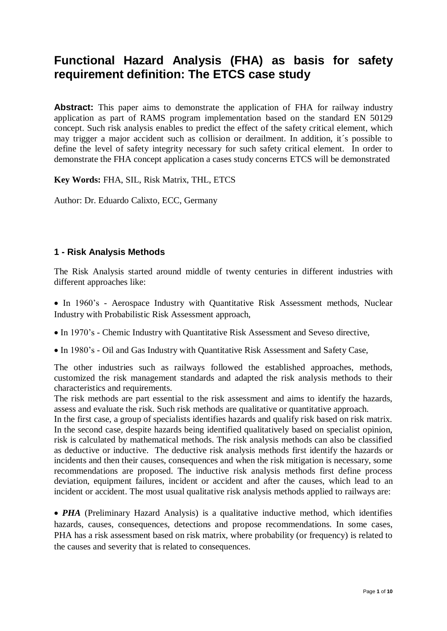# **Functional Hazard Analysis (FHA) as basis for safety requirement definition: The ETCS case study**

**Abstract:** This paper aims to demonstrate the application of FHA for railway industry application as part of RAMS program implementation based on the standard EN 50129 concept. Such risk analysis enables to predict the effect of the safety critical element, which may trigger a major accident such as collision or derailment. In addition, it´s possible to define the level of safety integrity necessary for such safety critical element. In order to demonstrate the FHA concept application a cases study concerns ETCS will be demonstrated

**Key Words:** FHA, SIL, Risk Matrix, THL, ETCS

Author: Dr. Eduardo Calixto, ECC, Germany

## **1 - Risk Analysis Methods**

The Risk Analysis started around middle of twenty centuries in different industries with different approaches like:

• In 1960's - Aerospace Industry with Quantitative Risk Assessment methods, Nuclear Industry with Probabilistic Risk Assessment approach,

In 1970's - Chemic Industry with Quantitative Risk Assessment and Seveso directive,

In 1980's - Oil and Gas Industry with Quantitative Risk Assessment and Safety Case,

The other industries such as railways followed the established approaches, methods, customized the risk management standards and adapted the risk analysis methods to their characteristics and requirements.

The risk methods are part essential to the risk assessment and aims to identify the hazards, assess and evaluate the risk. Such risk methods are qualitative or quantitative approach.

In the first case, a group of specialists identifies hazards and qualify risk based on risk matrix. In the second case, despite hazards being identified qualitatively based on specialist opinion, risk is calculated by mathematical methods. The risk analysis methods can also be classified as deductive or inductive. The deductive risk analysis methods first identify the hazards or incidents and then their causes, consequences and when the risk mitigation is necessary, some recommendations are proposed. The inductive risk analysis methods first define process deviation, equipment failures, incident or accident and after the causes, which lead to an incident or accident. The most usual qualitative risk analysis methods applied to railways are:

• **PHA** (Preliminary Hazard Analysis) is a qualitative inductive method, which identifies hazards, causes, consequences, detections and propose recommendations. In some cases, PHA has a risk assessment based on risk matrix, where probability (or frequency) is related to the causes and severity that is related to consequences.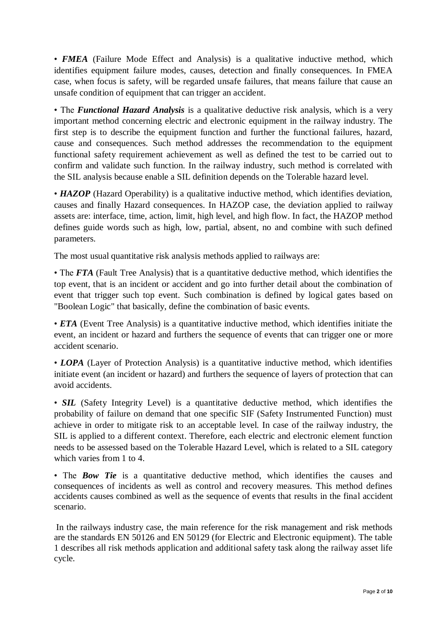• **FMEA** (Failure Mode Effect and Analysis) is a qualitative inductive method, which identifies equipment failure modes, causes, detection and finally consequences. In FMEA case, when focus is safety, will be regarded unsafe failures, that means failure that cause an unsafe condition of equipment that can trigger an accident.

• The *Functional Hazard Analysis* is a qualitative deductive risk analysis, which is a very important method concerning electric and electronic equipment in the railway industry. The first step is to describe the equipment function and further the functional failures, hazard, cause and consequences. Such method addresses the recommendation to the equipment functional safety requirement achievement as well as defined the test to be carried out to confirm and validate such function. In the railway industry, such method is correlated with the SIL analysis because enable a SIL definition depends on the Tolerable hazard level.

• **HAZOP** (Hazard Operability) is a qualitative inductive method, which identifies deviation, causes and finally Hazard consequences. In HAZOP case, the deviation applied to railway assets are: interface, time, action, limit, high level, and high flow. In fact, the HAZOP method defines guide words such as high, low, partial, absent, no and combine with such defined parameters.

The most usual quantitative risk analysis methods applied to railways are:

• The *FTA* (Fault Tree Analysis) that is a quantitative deductive method, which identifies the top event, that is an incident or accident and go into further detail about the combination of event that trigger such top event. Such combination is defined by logical gates based on "Boolean Logic" that basically, define the combination of basic events.

• *ETA* (Event Tree Analysis) is a quantitative inductive method, which identifies initiate the event, an incident or hazard and furthers the sequence of events that can trigger one or more accident scenario.

• *LOPA* (Layer of Protection Analysis) is a quantitative inductive method, which identifies initiate event (an incident or hazard) and furthers the sequence of layers of protection that can avoid accidents.

• **SIL** (Safety Integrity Level) is a quantitative deductive method, which identifies the probability of failure on demand that one specific SIF (Safety Instrumented Function) must achieve in order to mitigate risk to an acceptable level. In case of the railway industry, the SIL is applied to a different context. Therefore, each electric and electronic element function needs to be assessed based on the Tolerable Hazard Level, which is related to a SIL category which varies from 1 to 4.

• The **Bow Tie** is a quantitative deductive method, which identifies the causes and consequences of incidents as well as control and recovery measures. This method defines accidents causes combined as well as the sequence of events that results in the final accident scenario.

In the railways industry case, the main reference for the risk management and risk methods are the standards EN 50126 and EN 50129 (for Electric and Electronic equipment). The table 1 describes all risk methods application and additional safety task along the railway asset life cycle.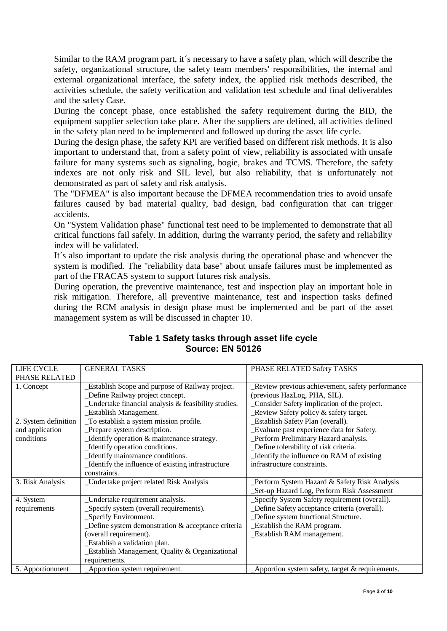Similar to the RAM program part, it´s necessary to have a safety plan, which will describe the safety, organizational structure, the safety team members' responsibilities, the internal and external organizational interface, the safety index, the applied risk methods described, the activities schedule, the safety verification and validation test schedule and final deliverables and the safety Case.

During the concept phase, once established the safety requirement during the BID, the equipment supplier selection take place. After the suppliers are defined, all activities defined in the safety plan need to be implemented and followed up during the asset life cycle.

During the design phase, the safety KPI are verified based on different risk methods. It is also important to understand that, from a safety point of view, reliability is associated with unsafe failure for many systems such as signaling, bogie, brakes and TCMS. Therefore, the safety indexes are not only risk and SIL level, but also reliability, that is unfortunately not demonstrated as part of safety and risk analysis.

The "DFMEA" is also important because the DFMEA recommendation tries to avoid unsafe failures caused by bad material quality, bad design, bad configuration that can trigger accidents.

On "System Validation phase" functional test need to be implemented to demonstrate that all critical functions fail safely. In addition, during the warranty period, the safety and reliability index will be validated.

It´s also important to update the risk analysis during the operational phase and whenever the system is modified. The "reliability data base" about unsafe failures must be implemented as part of the FRACAS system to support futures risk analysis.

During operation, the preventive maintenance, test and inspection play an important hole in risk mitigation. Therefore, all preventive maintenance, test and inspection tasks defined during the RCM analysis in design phase must be implemented and be part of the asset management system as will be discussed in chapter 10.

| LIFE CYCLE           | <b>GENERAL TASKS</b>                                | PHASE RELATED Safety TASKS                              |
|----------------------|-----------------------------------------------------|---------------------------------------------------------|
| PHASE RELATED        |                                                     |                                                         |
| 1. Concept           | Establish Scope and purpose of Railway project.     | Review previous achievement, safety performance         |
|                      | _Define Railway project concept.                    | (previous HazLog, PHA, SIL).                            |
|                      | Undertake financial analysis & feasibility studies. | Consider Safety implication of the project.             |
|                      | Establish Management.                               | Review Safety policy & safety target.                   |
| 2. System definition | To establish a system mission profile.              | Establish Safety Plan (overall).                        |
| and application      | Prepare system description.                         | Evaluate past experience data for Safety.               |
| conditions           | Identify operation & maintenance strategy.          | Perform Preliminary Hazard analysis.                    |
|                      | Identify operation conditions.                      | Define tolerability of risk criteria.                   |
|                      | _Identify maintenance conditions.                   | Identify the influence on RAM of existing               |
|                      | Identify the influence of existing infrastructure   | infrastructure constraints.                             |
|                      | constraints.                                        |                                                         |
| 3. Risk Analysis     | _Undertake project related Risk Analysis            | Perform System Hazard & Safety Risk Analysis            |
|                      |                                                     | Set-up Hazard Log, Perform Risk Assessment              |
| 4. System            | _Undertake requirement analysis.                    | Specify System Safety requirement (overall).            |
| requirements         | Specify system (overall requirements).              | Define Safety acceptance criteria (overall).            |
|                      | _Specify Environment.                               | _Define system functional Structure.                    |
|                      | Define system demonstration & acceptance criteria   | Establish the RAM program.                              |
|                      | (overall requirement).                              | Establish RAM management.                               |
|                      | Establish a validation plan.                        |                                                         |
|                      | Establish Management, Quality & Organizational      |                                                         |
|                      | requirements.                                       |                                                         |
| 5. Apportionment     | Apportion system requirement.                       | $\Delta$ pportion system safety, target & requirements. |

# **Table 1 Safety tasks through asset life cycle Source: EN 50126**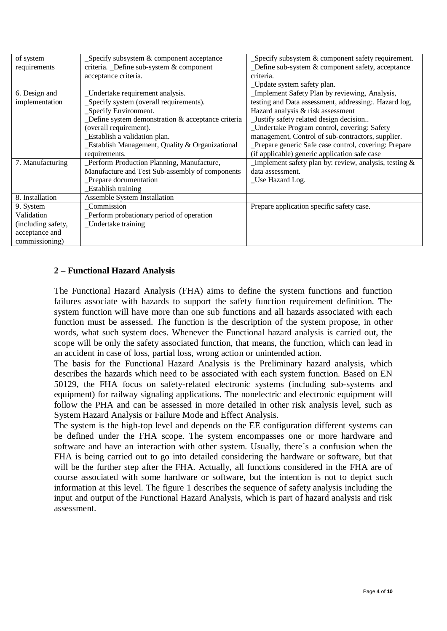| of system          | _Specify subsystem & component acceptance         | $\Delta$ Specify subsystem $\&$ component safety requirement. |
|--------------------|---------------------------------------------------|---------------------------------------------------------------|
| requirements       | criteria. _Define sub-system & component          | Define sub-system & component safety, acceptance              |
|                    | acceptance criteria.                              | criteria.                                                     |
|                    |                                                   | _Update system safety plan.                                   |
| 6. Design and      | _Undertake requirement analysis.                  | Implement Safety Plan by reviewing, Analysis,                 |
| implementation     | _Specify system (overall requirements).           | testing and Data assessment, addressing: Hazard log,          |
|                    | _Specify Environment.                             | Hazard analysis & risk assessment                             |
|                    | Define system demonstration & acceptance criteria | Justify safety related design decision                        |
|                    | (overall requirement).                            | _Undertake Program control, covering: Safety                  |
|                    | Establish a validation plan.                      | management, Control of sub-contractors, supplier.             |
|                    | Establish Management, Quality & Organizational    | _Prepare generic Safe case control, covering: Prepare         |
|                    | requirements.                                     | (if applicable) generic application safe case                 |
| 7. Manufacturing   | Perform Production Planning, Manufacture,         | Implement safety plan by: review, analysis, testing $\&$      |
|                    | Manufacture and Test Sub-assembly of components   | data assessment.                                              |
|                    | Prepare documentation                             | Use Hazard Log.                                               |
|                    | Establish training                                |                                                               |
| 8. Installation    | Assemble System Installation                      |                                                               |
| 9. System          | Commission                                        | Prepare application specific safety case.                     |
| Validation         | Perform probationary period of operation          |                                                               |
| (including safety, | _Undertake training                               |                                                               |
| acceptance and     |                                                   |                                                               |
| commissioning)     |                                                   |                                                               |

#### **2 – Functional Hazard Analysis**

The Functional Hazard Analysis (FHA) aims to define the system functions and function failures associate with hazards to support the safety function requirement definition. The system function will have more than one sub functions and all hazards associated with each function must be assessed. The function is the description of the system propose, in other words, what such system does. Whenever the Functional hazard analysis is carried out, the scope will be only the safety associated function, that means, the function, which can lead in an accident in case of loss, partial loss, wrong action or unintended action.

The basis for the Functional Hazard Analysis is the Preliminary hazard analysis, which describes the hazards which need to be associated with each system function. Based on EN 50129, the FHA focus on safety-related electronic systems (including sub-systems and equipment) for railway signaling applications. The nonelectric and electronic equipment will follow the PHA and can be assessed in more detailed in other risk analysis level, such as System Hazard Analysis or Failure Mode and Effect Analysis.

The system is the high-top level and depends on the EE configuration different systems can be defined under the FHA scope. The system encompasses one or more hardware and software and have an interaction with other system. Usually, there´s a confusion when the FHA is being carried out to go into detailed considering the hardware or software, but that will be the further step after the FHA. Actually, all functions considered in the FHA are of course associated with some hardware or software, but the intention is not to depict such information at this level. The figure 1 describes the sequence of safety analysis including the input and output of the Functional Hazard Analysis, which is part of hazard analysis and risk assessment.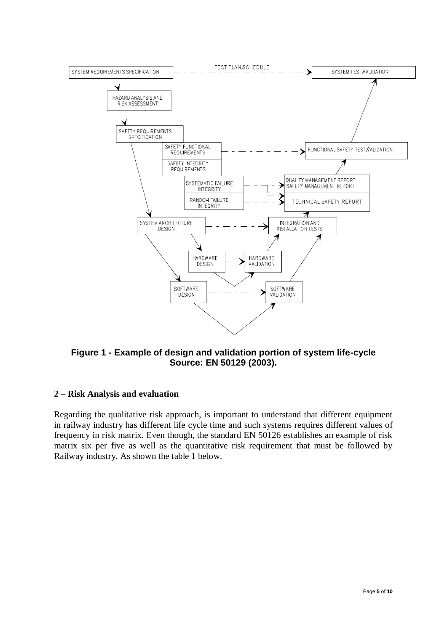

**Figure 1 - Example of design and validation portion of system life-cycle Source: EN 50129 (2003).**

## **2 – Risk Analysis and evaluation**

Regarding the qualitative risk approach, is important to understand that different equipment in railway industry has different life cycle time and such systems requires different values of frequency in risk matrix. Even though, the standard EN 50126 establishes an example of risk matrix six per five as well as the quantitative risk requirement that must be followed by Railway industry. As shown the table 1 below.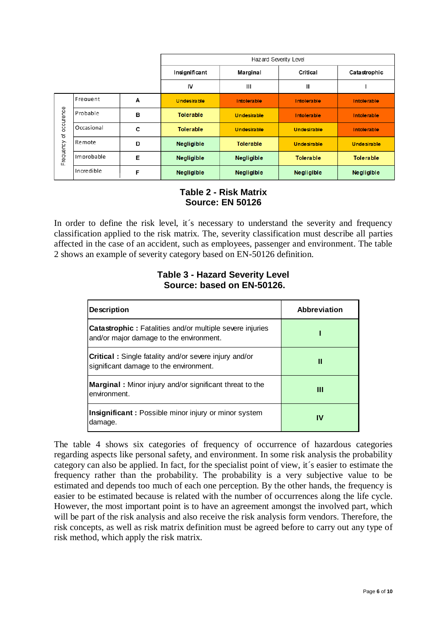|           |                 |                 | Hazard Severity Level |                    |                    |                    |  |  |  |
|-----------|-----------------|-----------------|-----------------------|--------------------|--------------------|--------------------|--|--|--|
|           |                 | Insignificant   | Marginal              | Critical           | Catastrophic       |                    |  |  |  |
|           |                 |                 | IV                    | Ш                  | Ш                  |                    |  |  |  |
|           | Frequent        | A               | <b>Undesirable</b>    | Intolerable        | Intolerable        | Intolerable        |  |  |  |
| occurence | Probable        | в               | <b>Tolerable</b>      | <b>Undesirable</b> | <b>Intolerable</b> | <b>Intolerable</b> |  |  |  |
| ৳         | Occasional      | c               | <b>Tolerable</b>      | <b>Undesirable</b> | <b>Undesirable</b> | <b>Intolerable</b> |  |  |  |
|           | Remote          | D               | Negligible            | <b>Tolerable</b>   | <b>Undesirable</b> | <b>Undesirable</b> |  |  |  |
| Frequency | Improbable      | E<br>Negligible |                       | <b>Negligible</b>  | <b>Tolerable</b>   | <b>Tolerable</b>   |  |  |  |
|           | Incredible<br>F |                 | <b>Negligible</b>     | <b>Negligible</b>  | <b>Negligible</b>  | Negligible         |  |  |  |

### **Table 2 - Risk Matrix Source: EN 50126**

In order to define the risk level, it s necessary to understand the severity and frequency classification applied to the risk matrix. The, severity classification must describe all parties affected in the case of an accident, such as employees, passenger and environment. The table 2 shows an example of severity category based on EN-50126 definition.

#### **Table 3 - Hazard Severity Level Source: based on EN-50126.**

| <b>Description</b>                                                                                         | Abbreviation |  |  |
|------------------------------------------------------------------------------------------------------------|--------------|--|--|
| <b>Catastrophic:</b> Fatalities and/or multiple severe injuries<br>and/or major damage to the environment. |              |  |  |
| <b>Critical:</b> Single fatality and/or severe injury and/or<br>significant damage to the environment.     | Ш            |  |  |
| Marginal: Minor injury and/or significant threat to the<br>environment.                                    | Ш            |  |  |
| Insignificant: Possible minor injury or minor system<br>damage.                                            | IV           |  |  |

The table 4 shows six categories of frequency of occurrence of hazardous categories regarding aspects like personal safety, and environment. In some risk analysis the probability category can also be applied. In fact, for the specialist point of view, it´s easier to estimate the frequency rather than the probability. The probability is a very subjective value to be estimated and depends too much of each one perception. By the other hands, the frequency is easier to be estimated because is related with the number of occurrences along the life cycle. However, the most important point is to have an agreement amongst the involved part, which will be part of the risk analysis and also receive the risk analysis form vendors. Therefore, the risk concepts, as well as risk matrix definition must be agreed before to carry out any type of risk method, which apply the risk matrix.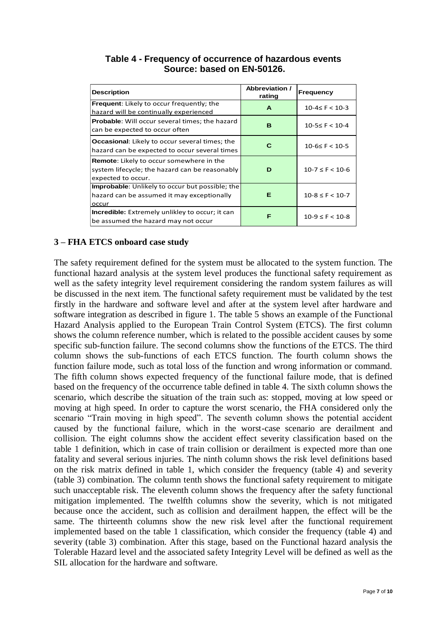| <b>Description</b>                                                                                                      | <b>Abbreviation /</b><br>rating | Frequency            |
|-------------------------------------------------------------------------------------------------------------------------|---------------------------------|----------------------|
| Frequent: Likely to occur frequently; the<br>hazard will be continually experienced                                     | A                               | $10-4 \leq F < 10-3$ |
| <b>Probable:</b> Will occur several times; the hazard<br>can be expected to occur often                                 | в                               | $10-5 \leq F < 10-4$ |
| <b>Occasional:</b> Likely to occur several times; the<br>hazard can be expected to occur several times                  | с                               | $10-6 \leq F < 10-5$ |
| <b>Remote:</b> Likely to occur somewhere in the<br>system lifecycle; the hazard can be reasonably<br>expected to occur. | D                               | $10-7 \leq F < 10-6$ |
| Improbable: Unlikely to occur but possible; the<br>hazard can be assumed it may exceptionally<br>occur                  | Е                               | $10-8 \leq F < 10-7$ |
| <b>Incredible:</b> Extremely unlikley to occur; it can<br>be assumed the hazard may not occur                           | F                               | $10-9 \leq F < 10-8$ |

# **Table 4 - Frequency of occurrence of hazardous events Source: based on EN-50126.**

#### **3 – FHA ETCS onboard case study**

The safety requirement defined for the system must be allocated to the system function. The functional hazard analysis at the system level produces the functional safety requirement as well as the safety integrity level requirement considering the random system failures as will be discussed in the next item. The functional safety requirement must be validated by the test firstly in the hardware and software level and after at the system level after hardware and software integration as described in figure 1. The table 5 shows an example of the Functional Hazard Analysis applied to the European Train Control System (ETCS). The first column shows the column reference number, which is related to the possible accident causes by some specific sub-function failure. The second columns show the functions of the ETCS. The third column shows the sub-functions of each ETCS function. The fourth column shows the function failure mode, such as total loss of the function and wrong information or command. The fifth column shows expected frequency of the functional failure mode, that is defined based on the frequency of the occurrence table defined in table 4. The sixth column shows the scenario, which describe the situation of the train such as: stopped, moving at low speed or moving at high speed. In order to capture the worst scenario, the FHA considered only the scenario "Train moving in high speed". The seventh column shows the potential accident caused by the functional failure, which in the worst-case scenario are derailment and collision. The eight columns show the accident effect severity classification based on the table 1 definition, which in case of train collision or derailment is expected more than one fatality and several serious injuries. The ninth column shows the risk level definitions based on the risk matrix defined in table 1, which consider the frequency (table 4) and severity (table 3) combination. The column tenth shows the functional safety requirement to mitigate such unacceptable risk. The eleventh column shows the frequency after the safety functional mitigation implemented. The twelfth columns show the severity, which is not mitigated because once the accident, such as collision and derailment happen, the effect will be the same. The thirteenth columns show the new risk level after the functional requirement implemented based on the table 1 classification, which consider the frequency (table 4) and severity (table 3) combination. After this stage, based on the Functional hazard analysis the Tolerable Hazard level and the associated safety Integrity Level will be defined as well as the SIL allocation for the hardware and software.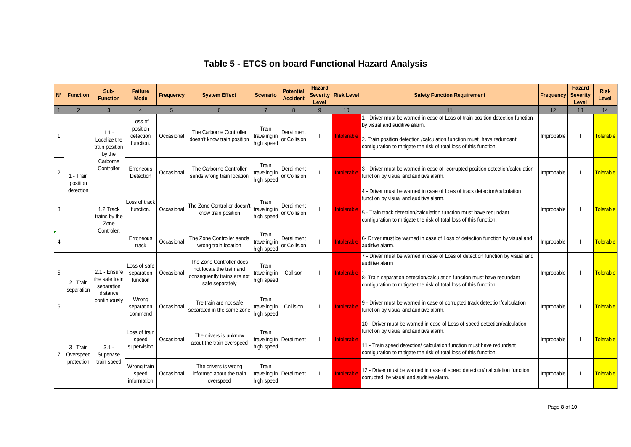# **Table 5 - ETCS on board Functional Hazard Analysis**

| $N^{\circ}$    | <b>Function</b>                     | Sub-<br><b>Function</b>                             | <b>Failure</b><br><b>Mode</b>                 | Frequency  | <b>System Effect</b>                                                                                   | <b>Scenario</b>                                | <b>Potential</b><br><b>Accident</b> | <b>Hazard</b><br>Level | Severity Risk Level | <b>Safety Function Requirement</b>                                                                                                                                                                                                                                | Frequency  | <b>Hazard</b><br><b>Severity</b><br>Level | <b>Risk</b><br>Level |
|----------------|-------------------------------------|-----------------------------------------------------|-----------------------------------------------|------------|--------------------------------------------------------------------------------------------------------|------------------------------------------------|-------------------------------------|------------------------|---------------------|-------------------------------------------------------------------------------------------------------------------------------------------------------------------------------------------------------------------------------------------------------------------|------------|-------------------------------------------|----------------------|
|                | $\overline{2}$                      | 3                                                   | $\Delta$                                      | 5          | $6 \overline{6}$                                                                                       | $\overline{7}$                                 | $\mathbf{8}$                        | 9                      | 10 <sup>°</sup>     | 11                                                                                                                                                                                                                                                                | 12         | 13                                        | 14                   |
|                |                                     | $1.1 -$<br>Localize the<br>train position<br>by the | Loss of<br>position<br>detection<br>function. | Occasional | The Carborne Controller<br>doesn't know train position                                                 | Train<br>traveling in<br>high speed            | Derailment<br>or Collision          |                        | Intolerable         | 1 - Driver must be warned in case of Loss of train position detection function<br>by visual and auditive alarm.<br>2. Train position detection / calculation function must have redundant<br>configuration to mitigate the risk of total loss of this function.   | Improbable |                                           | Tolerable            |
| $\overline{2}$ | 1 - Train<br>position               | Carborne<br>Controller                              | Erroneous<br>Detection                        | Occasional | The Carborne Controller<br>sends wrong train location                                                  | Train<br>traveling in<br>high speed            | Derailment<br>or Collision          |                        | Intolerable         | 3 - Driver must be warned in case of corrupted position detection/calculation<br>function by visual and auditive alarm.                                                                                                                                           | Improbable |                                           | <b>Tolerable</b>     |
| 3              | detection                           | 1.2 Track<br>trains by the<br>Zone                  | Loss of track<br>function.                    | Occasional | The Zone Controller doesn't<br>know train position                                                     | Train<br>traveling in<br>high speed            | Derailment<br>or Collision          |                        | Intolerable         | 4 - Driver must be warned in case of Loss of track detection/calculation<br>function by visual and auditive alarm.<br>5 - Train track detection/calculation function must have redundant<br>configuration to mitigate the risk of total loss of this function.    | Improbable |                                           | <b>Tolerable</b>     |
| $\overline{4}$ |                                     | Controler.                                          | Erroneous<br>track                            | Occasional | The Zone Controller sends<br>wrong train location                                                      | Train<br>traveling in<br>high speed            | Derailment<br>or Collision          |                        | Intolerable         | 6- Driver must be warned in case of Loss of detection function by visual and<br>auditive alarm.                                                                                                                                                                   | Improbable |                                           | <b>Tolerable</b>     |
| 5              | 2. Train<br>separation              | 2.1 - Ensure<br>the safe train<br>separation        | Loss of safe<br>separation<br>function        | Occasional | The Zone Controller does<br>not locate the train and<br>consequently trains are not<br>safe separately | Train<br>traveling in<br>high speed            | Collison                            |                        | Intolerable         | 7 - Driver must be warned in case of Loss of detection function by visual and<br>auditive alarm<br>8- Train separation detection/calculation function must have redundant<br>configuration to mitigate the risk of total loss of this function.                   | Improbable |                                           | <b>Tolerable</b>     |
| 6              |                                     | distance<br>continuously                            | Wrong<br>separation<br>command                | Occasional | Tre train are not safe<br>separated in the same zone                                                   | Train<br>traveling in<br>high speed            | Collision                           |                        | Intolerable         | 9 - Driver must be warned in case of corrupted track detection/calculation<br>function by visual and auditive alarm.                                                                                                                                              | Improbable |                                           | <b>Tolerable</b>     |
| -7             | 3. Train<br>Overspeed<br>protection | $3.1 -$<br>Supervise                                | Loss of train<br>speed<br>supervision         | Occasional | The drivers is unknow<br>about the train overspeed                                                     | Train<br>traveling in Derailment<br>high speed |                                     |                        | Intolerable         | 10 - Driver must be warned in case of Loss of speed detection/calculation<br>function by visual and auditive alarm.<br>11 - Train speed detection/ calculation function must have redundant<br>configuration to mitigate the risk of total loss of this function. | Improbable |                                           | <b>Tolerable</b>     |
|                |                                     | train speed                                         | Wrong train<br>speed<br>information           | Occasional | The drivers is wrong<br>informed about the train<br>overspeed                                          | Train<br>traveling in Derailment<br>high speed |                                     |                        | Intolerable         | 12 - Driver must be warned in case of speed detection/ calculation function<br>corrupted by visual and auditive alarm.                                                                                                                                            | Improbable |                                           | <b>Tolerable</b>     |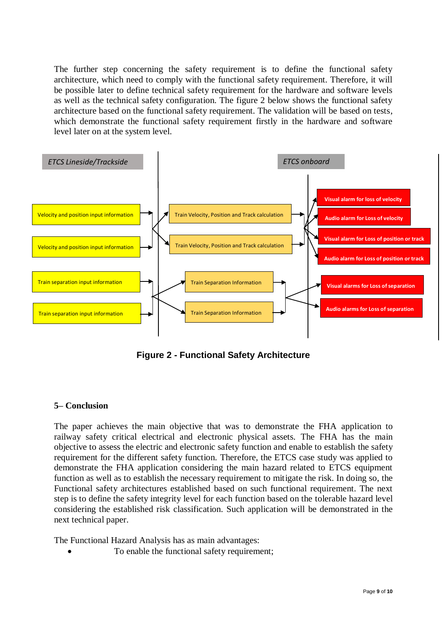The further step concerning the safety requirement is to define the functional safety architecture, which need to comply with the functional safety requirement. Therefore, it will be possible later to define technical safety requirement for the hardware and software levels as well as the technical safety configuration. The figure 2 below shows the functional safety architecture based on the functional safety requirement. The validation will be based on tests, which demonstrate the functional safety requirement firstly in the hardware and software level later on at the system level.



**Figure 2 - Functional Safety Architecture**

## **5– Conclusion**

The paper achieves the main objective that was to demonstrate the FHA application to railway safety critical electrical and electronic physical assets. The FHA has the main objective to assess the electric and electronic safety function and enable to establish the safety requirement for the different safety function. Therefore, the ETCS case study was applied to demonstrate the FHA application considering the main hazard related to ETCS equipment function as well as to establish the necessary requirement to mitigate the risk. In doing so, the Functional safety architectures established based on such functional requirement. The next step is to define the safety integrity level for each function based on the tolerable hazard level considering the established risk classification. Such application will be demonstrated in the next technical paper.

The Functional Hazard Analysis has as main advantages:

To enable the functional safety requirement;